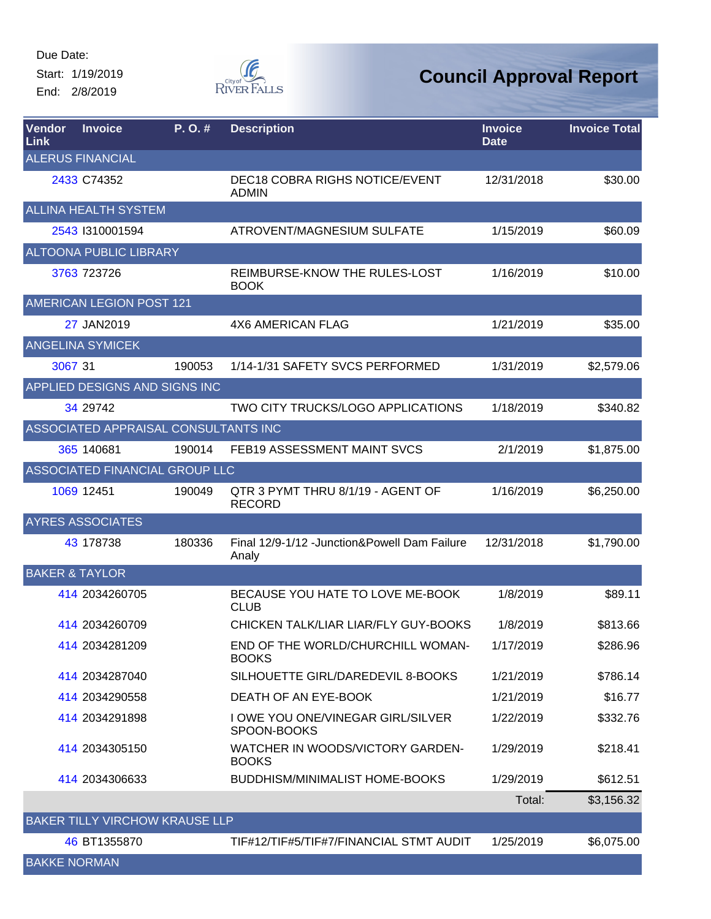Start: 1/19/2019 End: 2/8/2019



| Vendor<br>Link            | <b>Invoice</b>                        | P.O.#  | <b>Description</b>                                      | <b>Invoice</b><br><b>Date</b> | <b>Invoice Total</b> |
|---------------------------|---------------------------------------|--------|---------------------------------------------------------|-------------------------------|----------------------|
|                           | <b>ALERUS FINANCIAL</b>               |        |                                                         |                               |                      |
|                           | 2433 C74352                           |        | <b>DEC18 COBRA RIGHS NOTICE/EVENT</b><br><b>ADMIN</b>   | 12/31/2018                    | \$30.00              |
|                           | <b>ALLINA HEALTH SYSTEM</b>           |        |                                                         |                               |                      |
|                           | 2543 1310001594                       |        | ATROVENT/MAGNESIUM SULFATE                              | 1/15/2019                     | \$60.09              |
|                           | <b>ALTOONA PUBLIC LIBRARY</b>         |        |                                                         |                               |                      |
|                           | 3763 723726                           |        | REIMBURSE-KNOW THE RULES-LOST<br><b>BOOK</b>            | 1/16/2019                     | \$10.00              |
|                           | <b>AMERICAN LEGION POST 121</b>       |        |                                                         |                               |                      |
|                           | 27 JAN2019                            |        | <b>4X6 AMERICAN FLAG</b>                                | 1/21/2019                     | \$35.00              |
|                           | <b>ANGELINA SYMICEK</b>               |        |                                                         |                               |                      |
| 3067 31                   |                                       | 190053 | 1/14-1/31 SAFETY SVCS PERFORMED                         | 1/31/2019                     | \$2,579.06           |
|                           | APPLIED DESIGNS AND SIGNS INC         |        |                                                         |                               |                      |
|                           | 34 29742                              |        | TWO CITY TRUCKS/LOGO APPLICATIONS                       | 1/18/2019                     | \$340.82             |
|                           | ASSOCIATED APPRAISAL CONSULTANTS INC  |        |                                                         |                               |                      |
|                           | 365 140681                            | 190014 | FEB19 ASSESSMENT MAINT SVCS                             | 2/1/2019                      | \$1,875.00           |
|                           | ASSOCIATED FINANCIAL GROUP LLC        |        |                                                         |                               |                      |
|                           | 1069 12451                            | 190049 | QTR 3 PYMT THRU 8/1/19 - AGENT OF<br><b>RECORD</b>      | 1/16/2019                     | \$6,250.00           |
|                           | <b>AYRES ASSOCIATES</b>               |        |                                                         |                               |                      |
|                           | 43 178738                             | 180336 | Final 12/9-1/12 - Junction& Powell Dam Failure<br>Analy | 12/31/2018                    | \$1,790.00           |
| <b>BAKER &amp; TAYLOR</b> |                                       |        |                                                         |                               |                      |
|                           | 414 2034260705                        |        | BECAUSE YOU HATE TO LOVE ME-BOOK<br><b>CLUB</b>         | 1/8/2019                      | \$89.11              |
|                           | 414 2034260709                        |        | CHICKEN TALK/LIAR LIAR/FLY GUY-BOOKS                    | 1/8/2019                      | \$813.66             |
|                           | 414 2034281209                        |        | END OF THE WORLD/CHURCHILL WOMAN-<br><b>BOOKS</b>       | 1/17/2019                     | \$286.96             |
|                           | 414 2034287040                        |        | SILHOUETTE GIRL/DAREDEVIL 8-BOOKS                       | 1/21/2019                     | \$786.14             |
|                           | 414 2034290558                        |        | DEATH OF AN EYE-BOOK                                    | 1/21/2019                     | \$16.77              |
|                           | 414 2034291898                        |        | I OWE YOU ONE/VINEGAR GIRL/SILVER<br>SPOON-BOOKS        | 1/22/2019                     | \$332.76             |
|                           | 414 2034305150                        |        | WATCHER IN WOODS/VICTORY GARDEN-<br><b>BOOKS</b>        | 1/29/2019                     | \$218.41             |
|                           | 414 2034306633                        |        | <b>BUDDHISM/MINIMALIST HOME-BOOKS</b>                   | 1/29/2019                     | \$612.51             |
|                           |                                       |        |                                                         | Total:                        | \$3,156.32           |
|                           | <b>BAKER TILLY VIRCHOW KRAUSE LLP</b> |        |                                                         |                               |                      |
|                           | 46 BT1355870                          |        | TIF#12/TIF#5/TIF#7/FINANCIAL STMT AUDIT                 | 1/25/2019                     | \$6,075.00           |
| <b>BAKKE NORMAN</b>       |                                       |        |                                                         |                               |                      |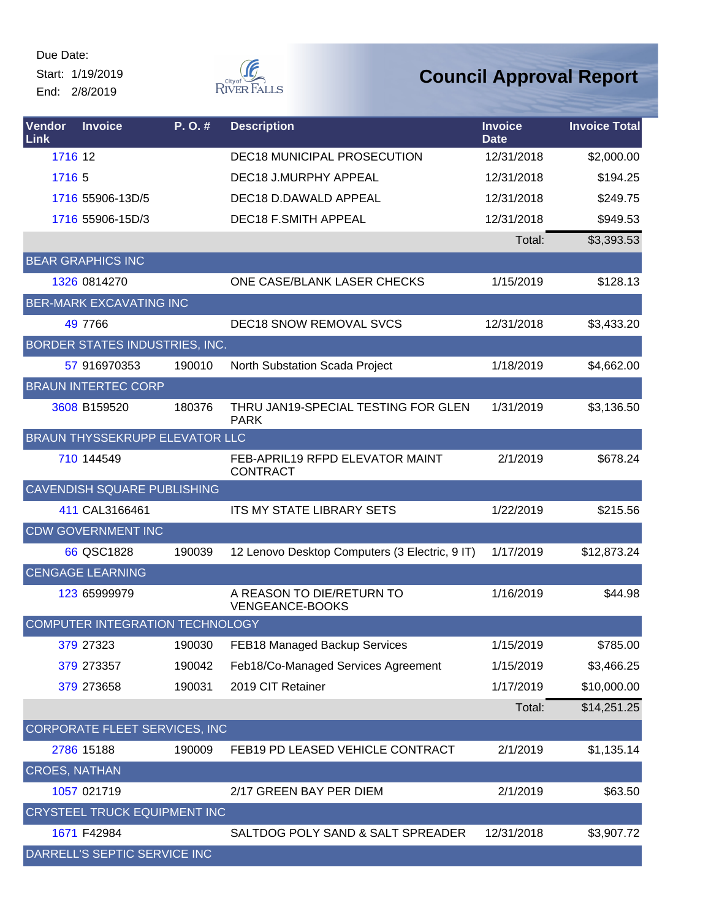Start: 1/19/2019 End: 2/8/2019



| Vendor<br>Link       | <b>Invoice</b>                        | P.O.#  | <b>Description</b>                                 | <b>Invoice</b><br><b>Date</b> | <b>Invoice Total</b> |
|----------------------|---------------------------------------|--------|----------------------------------------------------|-------------------------------|----------------------|
| 1716 12              |                                       |        | <b>DEC18 MUNICIPAL PROSECUTION</b>                 | 12/31/2018                    | \$2,000.00           |
| 1716 5               |                                       |        | DEC18 J.MURPHY APPEAL                              | 12/31/2018                    | \$194.25             |
|                      | 1716 55906-13D/5                      |        | DEC18 D.DAWALD APPEAL                              | 12/31/2018                    | \$249.75             |
|                      | 1716 55906-15D/3                      |        | <b>DEC18 F.SMITH APPEAL</b>                        | 12/31/2018                    | \$949.53             |
|                      |                                       |        |                                                    | Total:                        | \$3,393.53           |
|                      | <b>BEAR GRAPHICS INC</b>              |        |                                                    |                               |                      |
|                      | 1326 0814270                          |        | ONE CASE/BLANK LASER CHECKS                        | 1/15/2019                     | \$128.13             |
|                      | <b>BER-MARK EXCAVATING INC</b>        |        |                                                    |                               |                      |
|                      | 49 7766                               |        | <b>DEC18 SNOW REMOVAL SVCS</b>                     | 12/31/2018                    | \$3,433.20           |
|                      | BORDER STATES INDUSTRIES, INC.        |        |                                                    |                               |                      |
|                      | 57 916970353                          | 190010 | North Substation Scada Project                     | 1/18/2019                     | \$4,662.00           |
|                      | <b>BRAUN INTERTEC CORP</b>            |        |                                                    |                               |                      |
|                      | 3608 B159520                          | 180376 | THRU JAN19-SPECIAL TESTING FOR GLEN<br><b>PARK</b> | 1/31/2019                     | \$3,136.50           |
|                      | <b>BRAUN THYSSEKRUPP ELEVATOR LLC</b> |        |                                                    |                               |                      |
|                      | 710 144549                            |        | FEB-APRIL19 RFPD ELEVATOR MAINT<br><b>CONTRACT</b> | 2/1/2019                      | \$678.24             |
|                      | CAVENDISH SQUARE PUBLISHING           |        |                                                    |                               |                      |
|                      | 411 CAL3166461                        |        | <b>ITS MY STATE LIBRARY SETS</b>                   | 1/22/2019                     | \$215.56             |
|                      | <b>CDW GOVERNMENT INC</b>             |        |                                                    |                               |                      |
|                      | 66 QSC1828                            | 190039 | 12 Lenovo Desktop Computers (3 Electric, 9 IT)     | 1/17/2019                     | \$12,873.24          |
|                      | <b>CENGAGE LEARNING</b>               |        |                                                    |                               |                      |
|                      | 123 65999979                          |        | A REASON TO DIE/RETURN TO<br>VENGEANCE-BOOKS       | 1/16/2019                     | \$44.98              |
|                      | COMPUTER INTEGRATION TECHNOLOGY       |        |                                                    |                               |                      |
|                      | 379 27323                             | 190030 | FEB18 Managed Backup Services                      | 1/15/2019                     | \$785.00             |
|                      | 379 273357                            | 190042 | Feb18/Co-Managed Services Agreement                | 1/15/2019                     | \$3,466.25           |
|                      | 379 273658                            | 190031 | 2019 CIT Retainer                                  | 1/17/2019                     | \$10,000.00          |
|                      |                                       |        |                                                    | Total:                        | \$14,251.25          |
|                      | <b>CORPORATE FLEET SERVICES, INC.</b> |        |                                                    |                               |                      |
|                      | 2786 15188                            | 190009 | FEB19 PD LEASED VEHICLE CONTRACT                   | 2/1/2019                      | \$1,135.14           |
| <b>CROES, NATHAN</b> |                                       |        |                                                    |                               |                      |
|                      | 1057 021719                           |        | 2/17 GREEN BAY PER DIEM                            | 2/1/2019                      | \$63.50              |
|                      | CRYSTEEL TRUCK EQUIPMENT INC          |        |                                                    |                               |                      |
|                      | 1671 F42984                           |        | SALTDOG POLY SAND & SALT SPREADER                  | 12/31/2018                    | \$3,907.72           |
|                      | DARRELL'S SEPTIC SERVICE INC          |        |                                                    |                               |                      |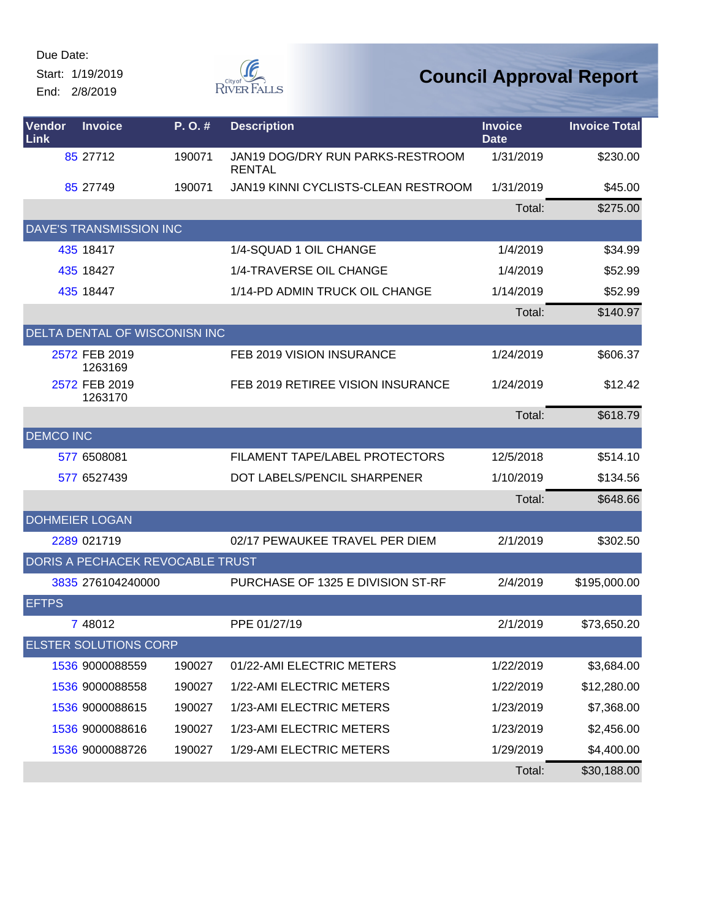Start: 1/19/2019 End: 2/8/2019



| Vendor<br>Link   | <b>Invoice</b>                   | P.O.#  | <b>Description</b>                                | <b>Invoice</b><br><b>Date</b> | <b>Invoice Total</b> |
|------------------|----------------------------------|--------|---------------------------------------------------|-------------------------------|----------------------|
|                  | 85 27712                         | 190071 | JAN19 DOG/DRY RUN PARKS-RESTROOM<br><b>RENTAL</b> | 1/31/2019                     | \$230.00             |
|                  | 85 27749                         | 190071 | JAN19 KINNI CYCLISTS-CLEAN RESTROOM               | 1/31/2019                     | \$45.00              |
|                  |                                  |        |                                                   | Total:                        | \$275.00             |
|                  | <b>DAVE'S TRANSMISSION INC</b>   |        |                                                   |                               |                      |
|                  | 435 18417                        |        | 1/4-SQUAD 1 OIL CHANGE                            | 1/4/2019                      | \$34.99              |
|                  | 435 18427                        |        | 1/4-TRAVERSE OIL CHANGE                           | 1/4/2019                      | \$52.99              |
|                  | 435 18447                        |        | 1/14-PD ADMIN TRUCK OIL CHANGE                    | 1/14/2019                     | \$52.99              |
|                  |                                  |        |                                                   | Total:                        | \$140.97             |
|                  | DELTA DENTAL OF WISCONISN INC    |        |                                                   |                               |                      |
|                  | 2572 FEB 2019<br>1263169         |        | FEB 2019 VISION INSURANCE                         | 1/24/2019                     | \$606.37             |
|                  | 2572 FEB 2019<br>1263170         |        | FEB 2019 RETIREE VISION INSURANCE                 | 1/24/2019                     | \$12.42              |
|                  |                                  |        |                                                   | Total:                        | \$618.79             |
| <b>DEMCO INC</b> |                                  |        |                                                   |                               |                      |
|                  | 577 6508081                      |        | FILAMENT TAPE/LABEL PROTECTORS                    | 12/5/2018                     | \$514.10             |
|                  | 577 6527439                      |        | DOT LABELS/PENCIL SHARPENER                       | 1/10/2019                     | \$134.56             |
|                  |                                  |        |                                                   | Total:                        | \$648.66             |
|                  | <b>DOHMEIER LOGAN</b>            |        |                                                   |                               |                      |
|                  | 2289 021719                      |        | 02/17 PEWAUKEE TRAVEL PER DIEM                    | 2/1/2019                      | \$302.50             |
|                  | DORIS A PECHACEK REVOCABLE TRUST |        |                                                   |                               |                      |
|                  | 3835 276104240000                |        | PURCHASE OF 1325 E DIVISION ST-RF                 | 2/4/2019                      | \$195,000.00         |
| <b>EFTPS</b>     |                                  |        |                                                   |                               |                      |
|                  | 7 48012                          |        | PPE 01/27/19                                      | 2/1/2019                      | \$73,650.20          |
|                  | <b>ELSTER SOLUTIONS CORP</b>     |        |                                                   |                               |                      |
|                  | 1536 9000088559                  | 190027 | 01/22-AMI ELECTRIC METERS                         | 1/22/2019                     | \$3,684.00           |
|                  | 1536 9000088558                  | 190027 | 1/22-AMI ELECTRIC METERS                          | 1/22/2019                     | \$12,280.00          |
|                  | 1536 9000088615                  | 190027 | 1/23-AMI ELECTRIC METERS                          | 1/23/2019                     | \$7,368.00           |
|                  | 1536 9000088616                  | 190027 | 1/23-AMI ELECTRIC METERS                          | 1/23/2019                     | \$2,456.00           |
|                  | 1536 9000088726                  | 190027 | 1/29-AMI ELECTRIC METERS                          | 1/29/2019                     | \$4,400.00           |
|                  |                                  |        |                                                   | Total:                        | \$30,188.00          |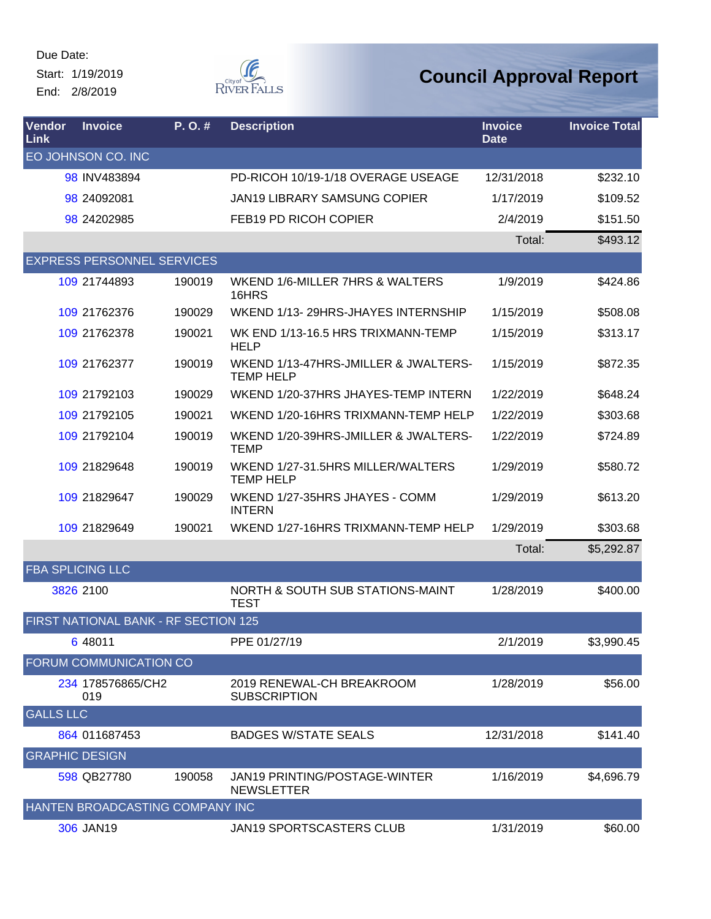Due Date: Start: 1/19/2019

End: 2/8/2019



| Vendor<br>Link        | <b>Invoice</b>                       | P. O. # | <b>Description</b>                                       | <b>Invoice</b><br><b>Date</b> | <b>Invoice Total</b> |
|-----------------------|--------------------------------------|---------|----------------------------------------------------------|-------------------------------|----------------------|
|                       | EO JOHNSON CO. INC                   |         |                                                          |                               |                      |
|                       | 98 INV483894                         |         | PD-RICOH 10/19-1/18 OVERAGE USEAGE                       | 12/31/2018                    | \$232.10             |
|                       | 98 24092081                          |         | <b>JAN19 LIBRARY SAMSUNG COPIER</b>                      | 1/17/2019                     | \$109.52             |
|                       | 98 24202985                          |         | FEB19 PD RICOH COPIER                                    | 2/4/2019                      | \$151.50             |
|                       |                                      |         |                                                          | Total:                        | \$493.12             |
|                       | <b>EXPRESS PERSONNEL SERVICES</b>    |         |                                                          |                               |                      |
|                       | 109 21744893                         | 190019  | WKEND 1/6-MILLER 7HRS & WALTERS<br>16HRS                 | 1/9/2019                      | \$424.86             |
|                       | 109 21762376                         | 190029  | WKEND 1/13-29HRS-JHAYES INTERNSHIP                       | 1/15/2019                     | \$508.08             |
|                       | 109 21762378                         | 190021  | WK END 1/13-16.5 HRS TRIXMANN-TEMP<br><b>HELP</b>        | 1/15/2019                     | \$313.17             |
|                       | 109 21762377                         | 190019  | WKEND 1/13-47HRS-JMILLER & JWALTERS-<br><b>TEMP HELP</b> | 1/15/2019                     | \$872.35             |
|                       | 109 21792103                         | 190029  | WKEND 1/20-37HRS JHAYES-TEMP INTERN                      | 1/22/2019                     | \$648.24             |
|                       | 109 21792105                         | 190021  | WKEND 1/20-16HRS TRIXMANN-TEMP HELP                      | 1/22/2019                     | \$303.68             |
|                       | 109 21792104                         | 190019  | WKEND 1/20-39HRS-JMILLER & JWALTERS-<br><b>TEMP</b>      | 1/22/2019                     | \$724.89             |
|                       | 109 21829648                         | 190019  | WKEND 1/27-31.5HRS MILLER/WALTERS<br><b>TEMP HELP</b>    | 1/29/2019                     | \$580.72             |
|                       | 109 21829647                         | 190029  | WKEND 1/27-35HRS JHAYES - COMM<br><b>INTERN</b>          | 1/29/2019                     | \$613.20             |
|                       | 109 21829649                         | 190021  | WKEND 1/27-16HRS TRIXMANN-TEMP HELP                      | 1/29/2019                     | \$303.68             |
|                       |                                      |         |                                                          | Total:                        | \$5,292.87           |
|                       | <b>FBA SPLICING LLC</b>              |         |                                                          |                               |                      |
|                       | 3826 2100                            |         | NORTH & SOUTH SUB STATIONS-MAINT<br><b>TEST</b>          | 1/28/2019                     | \$400.00             |
|                       | FIRST NATIONAL BANK - RF SECTION 125 |         |                                                          |                               |                      |
|                       | 6 48011                              |         | PPE 01/27/19                                             | 2/1/2019                      | \$3,990.45           |
|                       | FORUM COMMUNICATION CO               |         |                                                          |                               |                      |
|                       | 234 178576865/CH2<br>019             |         | 2019 RENEWAL-CH BREAKROOM<br><b>SUBSCRIPTION</b>         | 1/28/2019                     | \$56.00              |
| <b>GALLS LLC</b>      |                                      |         |                                                          |                               |                      |
|                       | 864 011687453                        |         | <b>BADGES W/STATE SEALS</b>                              | 12/31/2018                    | \$141.40             |
| <b>GRAPHIC DESIGN</b> |                                      |         |                                                          |                               |                      |
|                       | 598 QB27780                          | 190058  | JAN19 PRINTING/POSTAGE-WINTER<br><b>NEWSLETTER</b>       | 1/16/2019                     | \$4,696.79           |
|                       | HANTEN BROADCASTING COMPANY INC      |         |                                                          |                               |                      |
|                       | 306 JAN19                            |         | JAN19 SPORTSCASTERS CLUB                                 | 1/31/2019                     | \$60.00              |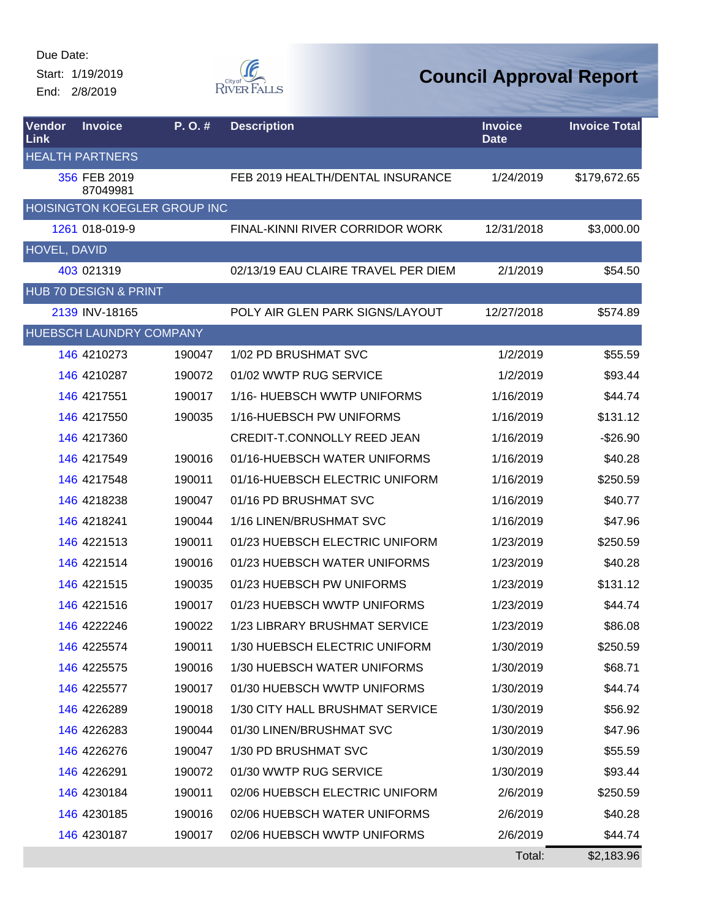Start: 1/19/2019 End: 2/8/2019



| Vendor<br>Link | <b>Invoice</b>           | P.O.#                        | <b>Description</b>                  | <b>Invoice</b><br><b>Date</b> | <b>Invoice Total</b> |
|----------------|--------------------------|------------------------------|-------------------------------------|-------------------------------|----------------------|
|                | <b>HEALTH PARTNERS</b>   |                              |                                     |                               |                      |
|                | 356 FEB 2019<br>87049981 |                              | FEB 2019 HEALTH/DENTAL INSURANCE    | 1/24/2019                     | \$179,672.65         |
|                |                          | HOISINGTON KOEGLER GROUP INC |                                     |                               |                      |
|                | 1261 018-019-9           |                              | FINAL-KINNI RIVER CORRIDOR WORK     | 12/31/2018                    | \$3,000.00           |
| HOVEL, DAVID   |                          |                              |                                     |                               |                      |
|                | 403 021319               |                              | 02/13/19 EAU CLAIRE TRAVEL PER DIEM | 2/1/2019                      | \$54.50              |
|                | HUB 70 DESIGN & PRINT    |                              |                                     |                               |                      |
|                | 2139 INV-18165           |                              | POLY AIR GLEN PARK SIGNS/LAYOUT     | 12/27/2018                    | \$574.89             |
|                | HUEBSCH LAUNDRY COMPANY  |                              |                                     |                               |                      |
|                | 146 4210273              | 190047                       | 1/02 PD BRUSHMAT SVC                | 1/2/2019                      | \$55.59              |
|                | 146 4210287              | 190072                       | 01/02 WWTP RUG SERVICE              | 1/2/2019                      | \$93.44              |
|                | 146 4217551              | 190017                       | 1/16- HUEBSCH WWTP UNIFORMS         | 1/16/2019                     | \$44.74              |
|                | 146 4217550              | 190035                       | 1/16-HUEBSCH PW UNIFORMS            | 1/16/2019                     | \$131.12             |
|                | 146 4217360              |                              | <b>CREDIT-T.CONNOLLY REED JEAN</b>  | 1/16/2019                     | $-$26.90$            |
|                | 146 4217549              | 190016                       | 01/16-HUEBSCH WATER UNIFORMS        | 1/16/2019                     | \$40.28              |
|                | 146 4217548              | 190011                       | 01/16-HUEBSCH ELECTRIC UNIFORM      | 1/16/2019                     | \$250.59             |
|                | 146 4218238              | 190047                       | 01/16 PD BRUSHMAT SVC               | 1/16/2019                     | \$40.77              |
|                | 146 4218241              | 190044                       | 1/16 LINEN/BRUSHMAT SVC             | 1/16/2019                     | \$47.96              |
|                | 146 4221513              | 190011                       | 01/23 HUEBSCH ELECTRIC UNIFORM      | 1/23/2019                     | \$250.59             |
|                | 146 4221514              | 190016                       | 01/23 HUEBSCH WATER UNIFORMS        | 1/23/2019                     | \$40.28              |
|                | 146 4221515              | 190035                       | 01/23 HUEBSCH PW UNIFORMS           | 1/23/2019                     | \$131.12             |
|                | 146 4221516              | 190017                       | 01/23 HUEBSCH WWTP UNIFORMS         | 1/23/2019                     | \$44.74              |
|                | 146 4222246              | 190022                       | 1/23 LIBRARY BRUSHMAT SERVICE       | 1/23/2019                     | \$86.08              |
|                | 146 4225574              | 190011                       | 1/30 HUEBSCH ELECTRIC UNIFORM       | 1/30/2019                     | \$250.59             |
|                | 146 4225575              | 190016                       | 1/30 HUEBSCH WATER UNIFORMS         | 1/30/2019                     | \$68.71              |
|                | 146 4225577              | 190017                       | 01/30 HUEBSCH WWTP UNIFORMS         | 1/30/2019                     | \$44.74              |
|                | 146 4226289              | 190018                       | 1/30 CITY HALL BRUSHMAT SERVICE     | 1/30/2019                     | \$56.92              |
|                | 146 4226283              | 190044                       | 01/30 LINEN/BRUSHMAT SVC            | 1/30/2019                     | \$47.96              |
|                | 146 4226276              | 190047                       | 1/30 PD BRUSHMAT SVC                | 1/30/2019                     | \$55.59              |
|                | 146 4226291              | 190072                       | 01/30 WWTP RUG SERVICE              | 1/30/2019                     | \$93.44              |
|                | 146 4230184              | 190011                       | 02/06 HUEBSCH ELECTRIC UNIFORM      | 2/6/2019                      | \$250.59             |
|                | <b>146 4230185</b>       | 190016                       | 02/06 HUEBSCH WATER UNIFORMS        | 2/6/2019                      | \$40.28              |
|                | 146 4230187              | 190017                       | 02/06 HUEBSCH WWTP UNIFORMS         | 2/6/2019                      | \$44.74              |
|                |                          |                              |                                     | Total:                        | \$2,183.96           |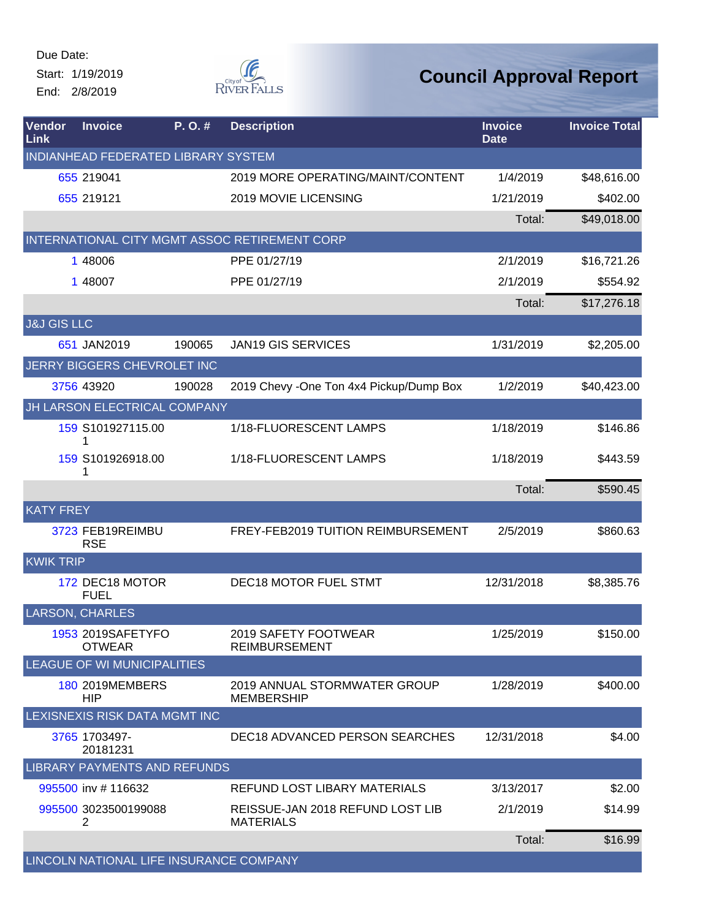Due Date: Start: 1/19/2019

End: 2/8/2019



| Vendor<br>Link         | <b>Invoice</b>                          | P.O.#  | <b>Description</b>                                   | <b>Invoice</b><br><b>Date</b> | <b>Invoice Total</b> |
|------------------------|-----------------------------------------|--------|------------------------------------------------------|-------------------------------|----------------------|
|                        | INDIANHEAD FEDERATED LIBRARY SYSTEM     |        |                                                      |                               |                      |
|                        | 655 219041                              |        | 2019 MORE OPERATING/MAINT/CONTENT                    | 1/4/2019                      | \$48,616.00          |
|                        | 655 219121                              |        | 2019 MOVIE LICENSING                                 | 1/21/2019                     | \$402.00             |
|                        |                                         |        |                                                      | Total:                        | \$49,018.00          |
|                        |                                         |        | INTERNATIONAL CITY MGMT ASSOC RETIREMENT CORP        |                               |                      |
|                        | 1 48006                                 |        | PPE 01/27/19                                         | 2/1/2019                      | \$16,721.26          |
|                        | 1 48007                                 |        | PPE 01/27/19                                         | 2/1/2019                      | \$554.92             |
|                        |                                         |        |                                                      | Total:                        | \$17,276.18          |
| <b>J&amp;J GIS LLC</b> |                                         |        |                                                      |                               |                      |
|                        | 651 JAN2019                             | 190065 | <b>JAN19 GIS SERVICES</b>                            | 1/31/2019                     | \$2,205.00           |
|                        | JERRY BIGGERS CHEVROLET INC             |        |                                                      |                               |                      |
|                        | 3756 43920                              | 190028 | 2019 Chevy - One Ton 4x4 Pickup/Dump Box             | 1/2/2019                      | \$40,423.00          |
|                        | JH LARSON ELECTRICAL COMPANY            |        |                                                      |                               |                      |
|                        | 159 S101927115.00                       |        | 1/18-FLUORESCENT LAMPS                               | 1/18/2019                     | \$146.86             |
|                        | 159 S101926918.00<br>1                  |        | 1/18-FLUORESCENT LAMPS                               | 1/18/2019                     | \$443.59             |
|                        |                                         |        |                                                      | Total:                        | \$590.45             |
| <b>KATY FREY</b>       |                                         |        |                                                      |                               |                      |
|                        | 3723 FEB19REIMBU<br><b>RSE</b>          |        | FREY-FEB2019 TUITION REIMBURSEMENT                   | 2/5/2019                      | \$860.63             |
| <b>KWIK TRIP</b>       |                                         |        |                                                      |                               |                      |
|                        | 172 DEC18 MOTOR<br><b>FUEL</b>          |        | DEC18 MOTOR FUEL STMT                                | 12/31/2018                    | \$8,385.76           |
|                        | <b>LARSON, CHARLES</b>                  |        |                                                      |                               |                      |
|                        | 1953 2019SAFETYFO<br><b>OTWEAR</b>      |        | 2019 SAFETY FOOTWEAR<br><b>REIMBURSEMENT</b>         | 1/25/2019                     | \$150.00             |
|                        | <b>LEAGUE OF WI MUNICIPALITIES</b>      |        |                                                      |                               |                      |
|                        | 180 2019MEMBERS<br><b>HIP</b>           |        | 2019 ANNUAL STORMWATER GROUP<br><b>MEMBERSHIP</b>    | 1/28/2019                     | \$400.00             |
|                        | LEXISNEXIS RISK DATA MGMT INC           |        |                                                      |                               |                      |
|                        | 3765 1703497-<br>20181231               |        | DEC18 ADVANCED PERSON SEARCHES                       | 12/31/2018                    | \$4.00               |
|                        | <b>LIBRARY PAYMENTS AND REFUNDS</b>     |        |                                                      |                               |                      |
|                        | 995500 inv #116632                      |        | REFUND LOST LIBARY MATERIALS                         | 3/13/2017                     | \$2.00               |
|                        | 995500 3023500199088<br>2               |        | REISSUE-JAN 2018 REFUND LOST LIB<br><b>MATERIALS</b> | 2/1/2019                      | \$14.99              |
|                        |                                         |        |                                                      | Total:                        | \$16.99              |
|                        | LINCOLN NATIONAL LIFE INSURANCE COMPANY |        |                                                      |                               |                      |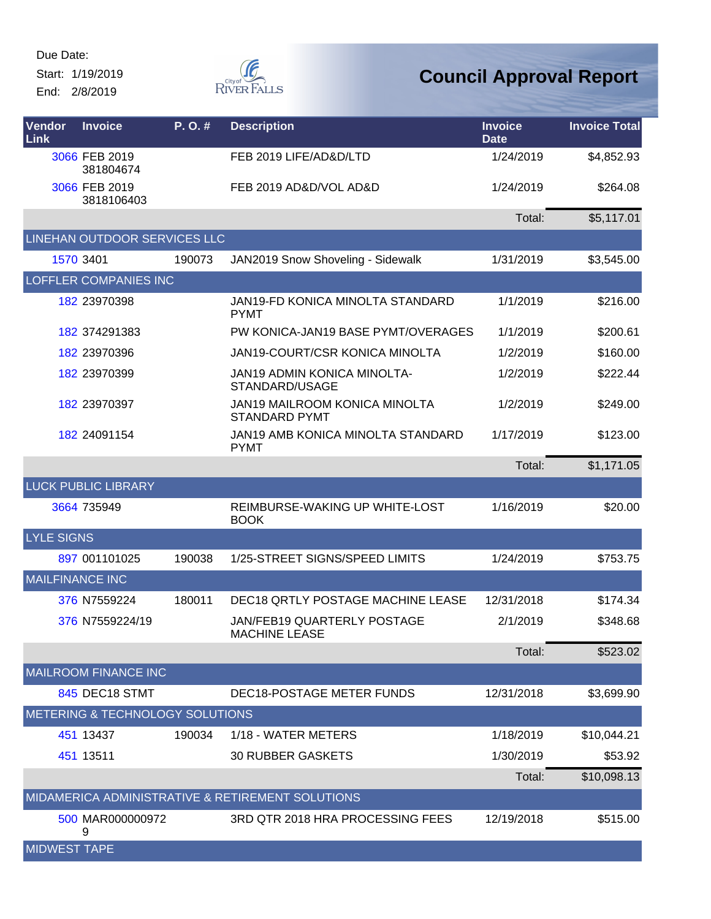Start: 1/19/2019 End: 2/8/2019

**F** RIVER FALLS

| Vendor<br>Link         | <b>Invoice</b>                  | P.O.#  | <b>Description</b>                                           | <b>Invoice</b><br><b>Date</b> | <b>Invoice Total</b> |
|------------------------|---------------------------------|--------|--------------------------------------------------------------|-------------------------------|----------------------|
|                        | 3066 FEB 2019<br>381804674      |        | FEB 2019 LIFE/AD&D/LTD                                       | 1/24/2019                     | \$4,852.93           |
|                        | 3066 FEB 2019<br>3818106403     |        | FEB 2019 AD&D/VOL AD&D                                       | 1/24/2019                     | \$264.08             |
|                        |                                 |        |                                                              | Total:                        | \$5,117.01           |
|                        | LINEHAN OUTDOOR SERVICES LLC    |        |                                                              |                               |                      |
|                        | 1570 3401                       | 190073 | JAN2019 Snow Shoveling - Sidewalk                            | 1/31/2019                     | \$3,545.00           |
|                        | <b>LOFFLER COMPANIES INC</b>    |        |                                                              |                               |                      |
|                        | 182 23970398                    |        | JAN19-FD KONICA MINOLTA STANDARD<br><b>PYMT</b>              | 1/1/2019                      | \$216.00             |
|                        | 182 374291383                   |        | PW KONICA-JAN19 BASE PYMT/OVERAGES                           | 1/1/2019                      | \$200.61             |
|                        | 182 23970396                    |        | JAN19-COURT/CSR KONICA MINOLTA                               | 1/2/2019                      | \$160.00             |
|                        | 182 23970399                    |        | <b>JAN19 ADMIN KONICA MINOLTA-</b><br>STANDARD/USAGE         | 1/2/2019                      | \$222.44             |
|                        | 182 23970397                    |        | <b>JAN19 MAILROOM KONICA MINOLTA</b><br><b>STANDARD PYMT</b> | 1/2/2019                      | \$249.00             |
|                        | 182 24091154                    |        | JAN19 AMB KONICA MINOLTA STANDARD<br><b>PYMT</b>             | 1/17/2019                     | \$123.00             |
|                        |                                 |        |                                                              | Total:                        | \$1,171.05           |
|                        | <b>LUCK PUBLIC LIBRARY</b>      |        |                                                              |                               |                      |
|                        | 3664 735949                     |        | REIMBURSE-WAKING UP WHITE-LOST<br><b>BOOK</b>                | 1/16/2019                     | \$20.00              |
| <b>LYLE SIGNS</b>      |                                 |        |                                                              |                               |                      |
|                        | 897 001101025                   | 190038 | 1/25-STREET SIGNS/SPEED LIMITS                               | 1/24/2019                     | \$753.75             |
| <b>MAILFINANCE INC</b> |                                 |        |                                                              |                               |                      |
|                        | 376 N7559224                    | 180011 | DEC18 QRTLY POSTAGE MACHINE LEASE                            | 12/31/2018                    | \$174.34             |
|                        | 376 N7559224/19                 |        | JAN/FEB19 QUARTERLY POSTAGE<br><b>MACHINE LEASE</b>          | 2/1/2019                      | \$348.68             |
|                        |                                 |        |                                                              | Total:                        | \$523.02             |
|                        | <b>MAILROOM FINANCE INC</b>     |        |                                                              |                               |                      |
|                        | 845 DEC18 STMT                  |        | DEC18-POSTAGE METER FUNDS                                    | 12/31/2018                    | \$3,699.90           |
|                        | METERING & TECHNOLOGY SOLUTIONS |        |                                                              |                               |                      |
|                        | 451 13437                       | 190034 | 1/18 - WATER METERS                                          | 1/18/2019                     | \$10,044.21          |
|                        | 451 13511                       |        | <b>30 RUBBER GASKETS</b>                                     | 1/30/2019                     | \$53.92              |
|                        |                                 |        |                                                              | Total:                        | \$10,098.13          |
|                        |                                 |        | MIDAMERICA ADMINISTRATIVE & RETIREMENT SOLUTIONS             |                               |                      |
|                        | 500 MAR000000972<br>9           |        | 3RD QTR 2018 HRA PROCESSING FEES                             | 12/19/2018                    | \$515.00             |
| <b>MIDWEST TAPE</b>    |                                 |        |                                                              |                               |                      |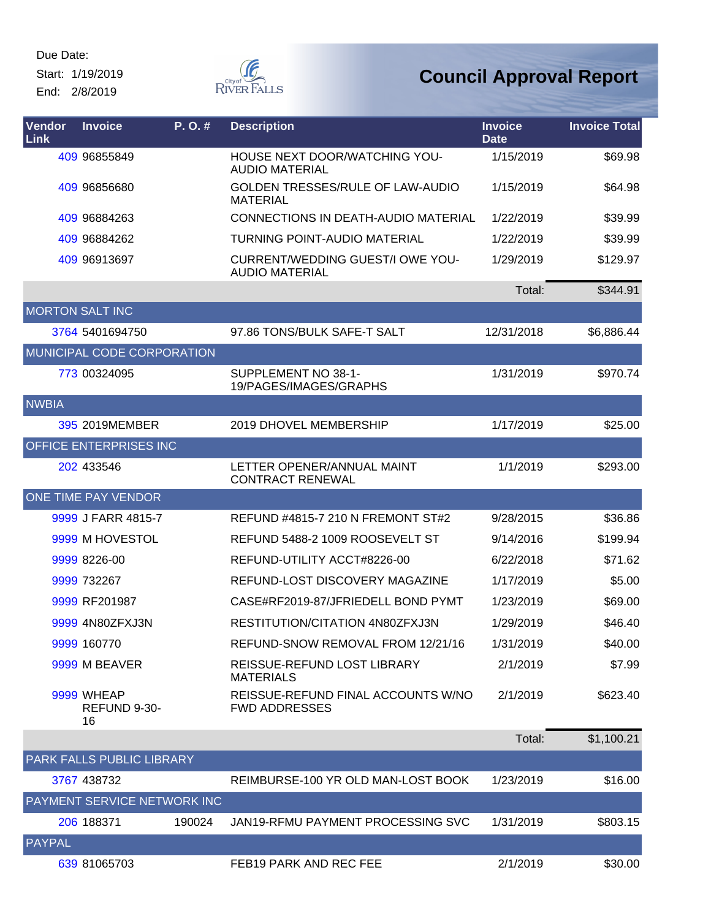Start: 1/19/2019 End: 2/8/2019



| Vendor<br>Link | <b>Invoice</b>                     | P.O.#  | <b>Description</b>                                               | <b>Invoice</b><br><b>Date</b> | <b>Invoice Total</b> |
|----------------|------------------------------------|--------|------------------------------------------------------------------|-------------------------------|----------------------|
|                | 409 96855849                       |        | HOUSE NEXT DOOR/WATCHING YOU-<br><b>AUDIO MATERIAL</b>           | 1/15/2019                     | \$69.98              |
|                | 409 96856680                       |        | GOLDEN TRESSES/RULE OF LAW-AUDIO<br><b>MATERIAL</b>              | 1/15/2019                     | \$64.98              |
|                | 409 96884263                       |        | CONNECTIONS IN DEATH-AUDIO MATERIAL                              | 1/22/2019                     | \$39.99              |
|                | 409 96884262                       |        | <b>TURNING POINT-AUDIO MATERIAL</b>                              | 1/22/2019                     | \$39.99              |
|                | 409 96913697                       |        | <b>CURRENT/WEDDING GUEST/I OWE YOU-</b><br><b>AUDIO MATERIAL</b> | 1/29/2019                     | \$129.97             |
|                |                                    |        |                                                                  | Total:                        | \$344.91             |
|                | <b>MORTON SALT INC</b>             |        |                                                                  |                               |                      |
|                | 3764 5401694750                    |        | 97.86 TONS/BULK SAFE-T SALT                                      | 12/31/2018                    | \$6,886.44           |
|                | MUNICIPAL CODE CORPORATION         |        |                                                                  |                               |                      |
|                | 773 00324095                       |        | SUPPLEMENT NO 38-1-<br>19/PAGES/IMAGES/GRAPHS                    | 1/31/2019                     | \$970.74             |
| <b>NWBIA</b>   |                                    |        |                                                                  |                               |                      |
|                | 395 2019MEMBER                     |        | 2019 DHOVEL MEMBERSHIP                                           | 1/17/2019                     | \$25.00              |
|                | OFFICE ENTERPRISES INC             |        |                                                                  |                               |                      |
|                | 202 433546                         |        | LETTER OPENER/ANNUAL MAINT<br><b>CONTRACT RENEWAL</b>            | 1/1/2019                      | \$293.00             |
|                | ONE TIME PAY VENDOR                |        |                                                                  |                               |                      |
|                | 9999 J FARR 4815-7                 |        | REFUND #4815-7 210 N FREMONT ST#2                                | 9/28/2015                     | \$36.86              |
|                | 9999 M HOVESTOL                    |        | REFUND 5488-2 1009 ROOSEVELT ST                                  | 9/14/2016                     | \$199.94             |
|                | 9999 8226-00                       |        | REFUND-UTILITY ACCT#8226-00                                      | 6/22/2018                     | \$71.62              |
|                | 9999 732267                        |        | REFUND-LOST DISCOVERY MAGAZINE                                   | 1/17/2019                     | \$5.00               |
|                | 9999 RF201987                      |        | CASE#RF2019-87/JFRIEDELL BOND PYMT                               | 1/23/2019                     | \$69.00              |
|                | 9999 4N80ZFXJ3N                    |        | RESTITUTION/CITATION 4N80ZFXJ3N                                  | 1/29/2019                     | \$46.40              |
|                | 9999 160770                        |        | REFUND-SNOW REMOVAL FROM 12/21/16                                | 1/31/2019                     | \$40.00              |
|                | 9999 M BEAVER                      |        | REISSUE-REFUND LOST LIBRARY<br><b>MATERIALS</b>                  | 2/1/2019                      | \$7.99               |
|                | 9999 WHEAP<br>REFUND 9-30-<br>16   |        | REISSUE-REFUND FINAL ACCOUNTS W/NO<br><b>FWD ADDRESSES</b>       | 2/1/2019                      | \$623.40             |
|                |                                    |        |                                                                  | Total:                        | \$1,100.21           |
|                | PARK FALLS PUBLIC LIBRARY          |        |                                                                  |                               |                      |
|                | 3767 438732                        |        | REIMBURSE-100 YR OLD MAN-LOST BOOK                               | 1/23/2019                     | \$16.00              |
|                | <b>PAYMENT SERVICE NETWORK INC</b> |        |                                                                  |                               |                      |
|                | 206 188371                         | 190024 | JAN19-RFMU PAYMENT PROCESSING SVC                                | 1/31/2019                     | \$803.15             |
| <b>PAYPAL</b>  |                                    |        |                                                                  |                               |                      |
|                | 639 81065703                       |        | FEB19 PARK AND REC FEE                                           | 2/1/2019                      | \$30.00              |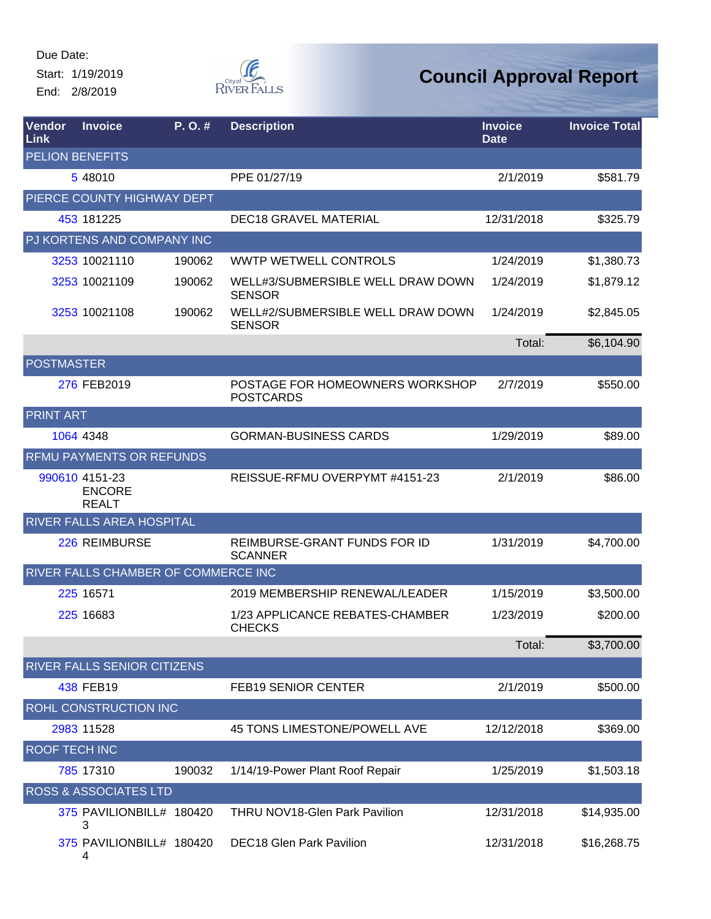Start: 1/19/2019 End: 2/8/2019



| <b>Vendor</b><br>Link | <b>Invoice</b>                                  | P.O.#  | <b>Description</b>                                  | <b>Invoice</b><br><b>Date</b> | <b>Invoice Total</b> |
|-----------------------|-------------------------------------------------|--------|-----------------------------------------------------|-------------------------------|----------------------|
|                       | <b>PELION BENEFITS</b>                          |        |                                                     |                               |                      |
|                       | 5 48010                                         |        | PPE 01/27/19                                        | 2/1/2019                      | \$581.79             |
|                       | PIERCE COUNTY HIGHWAY DEPT                      |        |                                                     |                               |                      |
|                       | 453 181225                                      |        | <b>DEC18 GRAVEL MATERIAL</b>                        | 12/31/2018                    | \$325.79             |
|                       | PJ KORTENS AND COMPANY INC                      |        |                                                     |                               |                      |
|                       | 3253 10021110                                   | 190062 | <b>WWTP WETWELL CONTROLS</b>                        | 1/24/2019                     | \$1,380.73           |
|                       | 3253 10021109                                   | 190062 | WELL#3/SUBMERSIBLE WELL DRAW DOWN<br><b>SENSOR</b>  | 1/24/2019                     | \$1,879.12           |
|                       | 3253 10021108                                   | 190062 | WELL#2/SUBMERSIBLE WELL DRAW DOWN<br><b>SENSOR</b>  | 1/24/2019                     | \$2,845.05           |
|                       |                                                 |        |                                                     | Total:                        | \$6,104.90           |
|                       | <b>POSTMASTER</b>                               |        |                                                     |                               |                      |
|                       | 276 FEB2019                                     |        | POSTAGE FOR HOMEOWNERS WORKSHOP<br><b>POSTCARDS</b> | 2/7/2019                      | \$550.00             |
| <b>PRINT ART</b>      |                                                 |        |                                                     |                               |                      |
|                       | 1064 4348                                       |        | <b>GORMAN-BUSINESS CARDS</b>                        | 1/29/2019                     | \$89.00              |
|                       | RFMU PAYMENTS OR REFUNDS                        |        |                                                     |                               |                      |
|                       | 990610 4151-23<br><b>ENCORE</b><br><b>REALT</b> |        | REISSUE-RFMU OVERPYMT #4151-23                      | 2/1/2019                      | \$86.00              |
|                       | RIVER FALLS AREA HOSPITAL                       |        |                                                     |                               |                      |
|                       | 226 REIMBURSE                                   |        | REIMBURSE-GRANT FUNDS FOR ID<br><b>SCANNER</b>      | 1/31/2019                     | \$4,700.00           |
|                       | RIVER FALLS CHAMBER OF COMMERCE INC             |        |                                                     |                               |                      |
|                       | 225 16571                                       |        | 2019 MEMBERSHIP RENEWAL/LEADER                      | 1/15/2019                     | \$3,500.00           |
|                       | 225 16683                                       |        | 1/23 APPLICANCE REBATES-CHAMBER<br><b>CHECKS</b>    | 1/23/2019                     | \$200.00             |
|                       |                                                 |        |                                                     | Total:                        | \$3,700.00           |
|                       | RIVER FALLS SENIOR CITIZENS                     |        |                                                     |                               |                      |
|                       | 438 FEB19                                       |        | <b>FEB19 SENIOR CENTER</b>                          | 2/1/2019                      | \$500.00             |
|                       | ROHL CONSTRUCTION INC                           |        |                                                     |                               |                      |
|                       | 2983 11528                                      |        | 45 TONS LIMESTONE/POWELL AVE                        | 12/12/2018                    | \$369.00             |
|                       | ROOF TECH INC                                   |        |                                                     |                               |                      |
|                       | 785 17310                                       | 190032 | 1/14/19-Power Plant Roof Repair                     | 1/25/2019                     | \$1,503.18           |
|                       | <b>ROSS &amp; ASSOCIATES LTD</b>                |        |                                                     |                               |                      |
|                       | 375 PAVILIONBILL# 180420<br>З                   |        | <b>THRU NOV18-Glen Park Pavilion</b>                | 12/31/2018                    | \$14,935.00          |
|                       | 375 PAVILIONBILL# 180420<br>4                   |        | <b>DEC18 Glen Park Pavilion</b>                     | 12/31/2018                    | \$16,268.75          |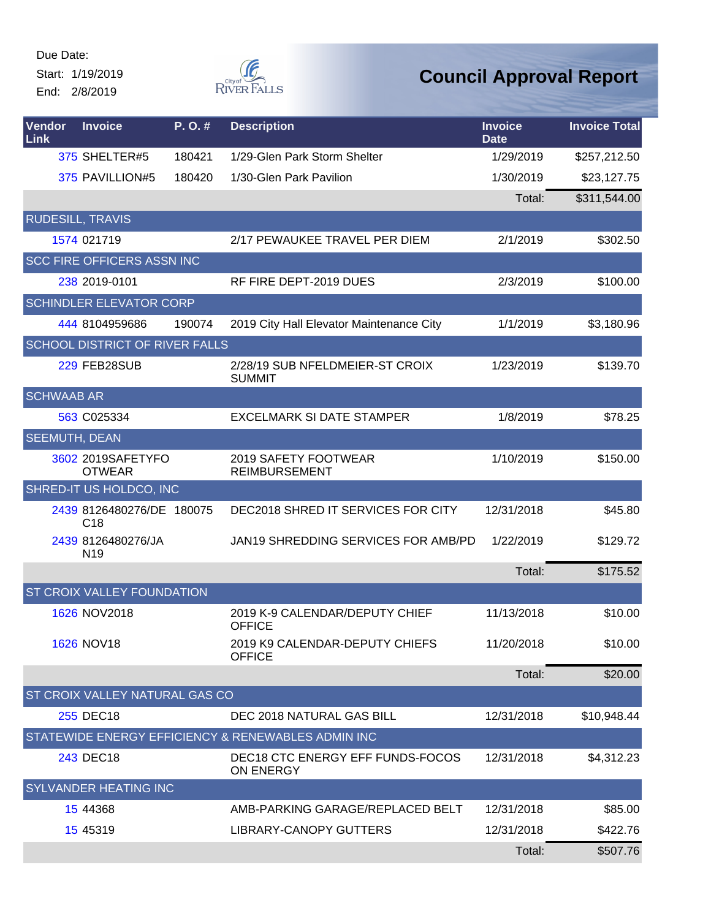Start: 1/19/2019 End: 2/8/2019



| Vendor<br>Link       | <b>Invoice</b>                               | P.O.#  | <b>Description</b>                                   | <b>Invoice</b><br><b>Date</b> | <b>Invoice Total</b> |
|----------------------|----------------------------------------------|--------|------------------------------------------------------|-------------------------------|----------------------|
|                      | 375 SHELTER#5                                | 180421 | 1/29-Glen Park Storm Shelter                         | 1/29/2019                     | \$257,212.50         |
|                      | 375 PAVILLION#5                              | 180420 | 1/30-Glen Park Pavilion                              | 1/30/2019                     | \$23,127.75          |
|                      |                                              |        |                                                      | Total:                        | \$311,544.00         |
|                      | <b>RUDESILL, TRAVIS</b>                      |        |                                                      |                               |                      |
|                      | 1574 021719                                  |        | 2/17 PEWAUKEE TRAVEL PER DIEM                        | 2/1/2019                      | \$302.50             |
|                      | <b>SCC FIRE OFFICERS ASSN INC</b>            |        |                                                      |                               |                      |
|                      | 238 2019-0101                                |        | RF FIRE DEPT-2019 DUES                               | 2/3/2019                      | \$100.00             |
|                      | <b>SCHINDLER ELEVATOR CORP</b>               |        |                                                      |                               |                      |
|                      | 444 8104959686                               | 190074 | 2019 City Hall Elevator Maintenance City             | 1/1/2019                      | \$3,180.96           |
|                      | SCHOOL DISTRICT OF RIVER FALLS               |        |                                                      |                               |                      |
|                      | 229 FEB28SUB                                 |        | 2/28/19 SUB NFELDMEIER-ST CROIX<br><b>SUMMIT</b>     | 1/23/2019                     | \$139.70             |
| <b>SCHWAAB AR</b>    |                                              |        |                                                      |                               |                      |
|                      | 563 C025334                                  |        | <b>EXCELMARK SI DATE STAMPER</b>                     | 1/8/2019                      | \$78.25              |
| <b>SEEMUTH, DEAN</b> |                                              |        |                                                      |                               |                      |
|                      | 3602 2019SAFETYFO<br><b>OTWEAR</b>           |        | 2019 SAFETY FOOTWEAR<br><b>REIMBURSEMENT</b>         | 1/10/2019                     | \$150.00             |
|                      | SHRED-IT US HOLDCO, INC                      |        |                                                      |                               |                      |
|                      | 2439 8126480276/DE 180075<br>C <sub>18</sub> |        | DEC2018 SHRED IT SERVICES FOR CITY                   | 12/31/2018                    | \$45.80              |
|                      | 2439 8126480276/JA<br>N <sub>19</sub>        |        | JAN19 SHREDDING SERVICES FOR AMB/PD                  | 1/22/2019                     | \$129.72             |
|                      |                                              |        |                                                      | Total:                        | \$175.52             |
|                      | <b>ST CROIX VALLEY FOUNDATION</b>            |        |                                                      |                               |                      |
|                      | 1626 NOV2018                                 |        | 2019 K-9 CALENDAR/DEPUTY CHIEF<br><b>OFFICE</b>      | 11/13/2018                    | \$10.00              |
|                      | 1626 NOV18                                   |        | 2019 K9 CALENDAR-DEPUTY CHIEFS<br><b>OFFICE</b>      | 11/20/2018                    | \$10.00              |
|                      |                                              |        |                                                      | Total:                        | \$20.00              |
|                      | ST CROIX VALLEY NATURAL GAS CO               |        |                                                      |                               |                      |
|                      | 255 DEC18                                    |        | DEC 2018 NATURAL GAS BILL                            | 12/31/2018                    | \$10,948.44          |
|                      |                                              |        | STATEWIDE ENERGY EFFICIENCY & RENEWABLES ADMIN INC   |                               |                      |
|                      | 243 DEC18                                    |        | DEC18 CTC ENERGY EFF FUNDS-FOCOS<br><b>ON ENERGY</b> | 12/31/2018                    | \$4,312.23           |
|                      | <b>SYLVANDER HEATING INC</b>                 |        |                                                      |                               |                      |
|                      | 15 44368                                     |        | AMB-PARKING GARAGE/REPLACED BELT                     | 12/31/2018                    | \$85.00              |
|                      | 15 45319                                     |        | LIBRARY-CANOPY GUTTERS                               | 12/31/2018                    | \$422.76             |
|                      |                                              |        |                                                      | Total:                        | \$507.76             |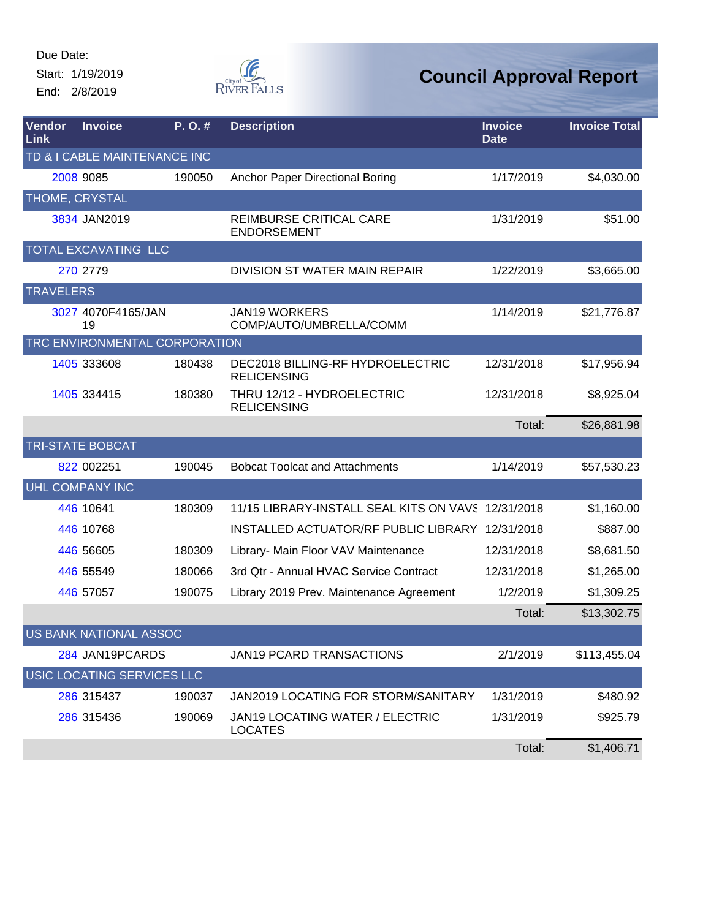Start: 1/19/2019 End: 2/8/2019



| Vendor<br>Link   | <b>Invoice</b>                | P.O.#  | <b>Description</b>                                     | <b>Invoice</b><br><b>Date</b> | <b>Invoice Total</b> |
|------------------|-------------------------------|--------|--------------------------------------------------------|-------------------------------|----------------------|
|                  | TD & I CABLE MAINTENANCE INC  |        |                                                        |                               |                      |
|                  | 2008 9085                     | 190050 | Anchor Paper Directional Boring                        | 1/17/2019                     | \$4,030.00           |
| THOME, CRYSTAL   |                               |        |                                                        |                               |                      |
|                  | 3834 JAN2019                  |        | REIMBURSE CRITICAL CARE<br><b>ENDORSEMENT</b>          | 1/31/2019                     | \$51.00              |
|                  | TOTAL EXCAVATING LLC          |        |                                                        |                               |                      |
|                  | 270 2779                      |        | <b>DIVISION ST WATER MAIN REPAIR</b>                   | 1/22/2019                     | \$3,665.00           |
| <b>TRAVELERS</b> |                               |        |                                                        |                               |                      |
|                  | 3027 4070F4165/JAN<br>19      |        | <b>JAN19 WORKERS</b><br>COMP/AUTO/UMBRELLA/COMM        | 1/14/2019                     | \$21,776.87          |
|                  | TRC ENVIRONMENTAL CORPORATION |        |                                                        |                               |                      |
|                  | 1405 333608                   | 180438 | DEC2018 BILLING-RF HYDROELECTRIC<br><b>RELICENSING</b> | 12/31/2018                    | \$17,956.94          |
|                  | 1405 334415                   | 180380 | THRU 12/12 - HYDROELECTRIC<br><b>RELICENSING</b>       | 12/31/2018                    | \$8,925.04           |
|                  |                               |        |                                                        | Total:                        | \$26,881.98          |
|                  | <b>TRI-STATE BOBCAT</b>       |        |                                                        |                               |                      |
|                  | 822 002251                    | 190045 | <b>Bobcat Toolcat and Attachments</b>                  | 1/14/2019                     | \$57,530.23          |
|                  | <b>UHL COMPANY INC</b>        |        |                                                        |                               |                      |
|                  | 446 10641                     | 180309 | 11/15 LIBRARY-INSTALL SEAL KITS ON VAVS 12/31/2018     |                               | \$1,160.00           |
|                  | 446 10768                     |        | INSTALLED ACTUATOR/RF PUBLIC LIBRARY 12/31/2018        |                               | \$887.00             |
|                  | 446 56605                     | 180309 | Library- Main Floor VAV Maintenance                    | 12/31/2018                    | \$8,681.50           |
|                  | 446 55549                     | 180066 | 3rd Qtr - Annual HVAC Service Contract                 | 12/31/2018                    | \$1,265.00           |
|                  | 446 57057                     | 190075 | Library 2019 Prev. Maintenance Agreement               | 1/2/2019                      | \$1,309.25           |
|                  |                               |        |                                                        | Total:                        | \$13,302.75          |
|                  | US BANK NATIONAL ASSOC        |        |                                                        |                               |                      |
|                  | 284 JAN19PCARDS               |        | JAN19 PCARD TRANSACTIONS                               | 2/1/2019                      | \$113,455.04         |
|                  | USIC LOCATING SERVICES LLC    |        |                                                        |                               |                      |
|                  | 286 315437                    | 190037 | JAN2019 LOCATING FOR STORM/SANITARY                    | 1/31/2019                     | \$480.92             |
|                  | 286 315436                    | 190069 | JAN19 LOCATING WATER / ELECTRIC<br><b>LOCATES</b>      | 1/31/2019                     | \$925.79             |
|                  |                               |        |                                                        | Total:                        | \$1,406.71           |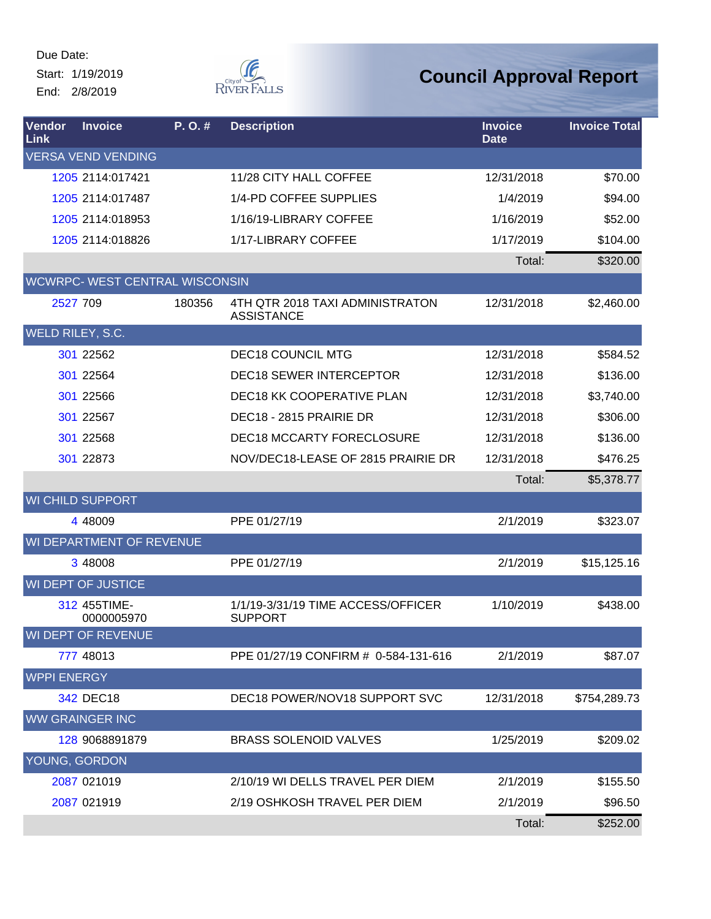Due Date: Start: 1/19/2019 End: 2/8/2019



| Vendor<br>Link     | <b>Invoice</b>                        | P.O.#  | <b>Description</b>                                   | <b>Invoice</b><br><b>Date</b> | <b>Invoice Total</b> |
|--------------------|---------------------------------------|--------|------------------------------------------------------|-------------------------------|----------------------|
|                    | <b>VERSA VEND VENDING</b>             |        |                                                      |                               |                      |
|                    | 1205 2114:017421                      |        | 11/28 CITY HALL COFFEE                               | 12/31/2018                    | \$70.00              |
|                    | 1205 2114:017487                      |        | 1/4-PD COFFEE SUPPLIES                               | 1/4/2019                      | \$94.00              |
|                    | 1205 2114:018953                      |        | 1/16/19-LIBRARY COFFEE                               | 1/16/2019                     | \$52.00              |
|                    | 1205 2114:018826                      |        | 1/17-LIBRARY COFFEE                                  | 1/17/2019                     | \$104.00             |
|                    |                                       |        |                                                      | Total:                        | \$320.00             |
|                    | <b>WCWRPC- WEST CENTRAL WISCONSIN</b> |        |                                                      |                               |                      |
|                    | 2527 709                              | 180356 | 4TH QTR 2018 TAXI ADMINISTRATON<br><b>ASSISTANCE</b> | 12/31/2018                    | \$2,460.00           |
|                    | WELD RILEY, S.C.                      |        |                                                      |                               |                      |
|                    | 301 22562                             |        | <b>DEC18 COUNCIL MTG</b>                             | 12/31/2018                    | \$584.52             |
|                    | 301 22564                             |        | <b>DEC18 SEWER INTERCEPTOR</b>                       | 12/31/2018                    | \$136.00             |
|                    | 301 22566                             |        | <b>DEC18 KK COOPERATIVE PLAN</b>                     | 12/31/2018                    | \$3,740.00           |
|                    | 301 22567                             |        | DEC18 - 2815 PRAIRIE DR                              | 12/31/2018                    | \$306.00             |
|                    | 301 22568                             |        | <b>DEC18 MCCARTY FORECLOSURE</b>                     | 12/31/2018                    | \$136.00             |
|                    | 301 22873                             |        | NOV/DEC18-LEASE OF 2815 PRAIRIE DR                   | 12/31/2018                    | \$476.25             |
|                    |                                       |        |                                                      | Total:                        | \$5,378.77           |
|                    | <b>WI CHILD SUPPORT</b>               |        |                                                      |                               |                      |
|                    | 4 48009                               |        | PPE 01/27/19                                         | 2/1/2019                      | \$323.07             |
|                    | WI DEPARTMENT OF REVENUE              |        |                                                      |                               |                      |
|                    | 3 48008                               |        | PPE 01/27/19                                         | 2/1/2019                      | \$15,125.16          |
|                    | <b>WI DEPT OF JUSTICE</b>             |        |                                                      |                               |                      |
|                    | 312 455TIME-<br>0000005970            |        | 1/1/19-3/31/19 TIME ACCESS/OFFICER<br><b>SUPPORT</b> | 1/10/2019                     | \$438.00             |
|                    | WI DEPT OF REVENUE                    |        |                                                      |                               |                      |
|                    | 777 48013                             |        | PPE 01/27/19 CONFIRM # 0-584-131-616                 | 2/1/2019                      | \$87.07              |
| <b>WPPI ENERGY</b> |                                       |        |                                                      |                               |                      |
|                    | 342 DEC18                             |        | DEC18 POWER/NOV18 SUPPORT SVC                        | 12/31/2018                    | \$754,289.73         |
|                    | <b>WW GRAINGER INC</b>                |        |                                                      |                               |                      |
|                    | 128 9068891879                        |        | <b>BRASS SOLENOID VALVES</b>                         | 1/25/2019                     | \$209.02             |
|                    | YOUNG, GORDON                         |        |                                                      |                               |                      |
|                    | 2087 021019                           |        | 2/10/19 WI DELLS TRAVEL PER DIEM                     | 2/1/2019                      | \$155.50             |
|                    | 2087 021919                           |        | 2/19 OSHKOSH TRAVEL PER DIEM                         | 2/1/2019                      | \$96.50              |
|                    |                                       |        |                                                      | Total:                        | \$252.00             |